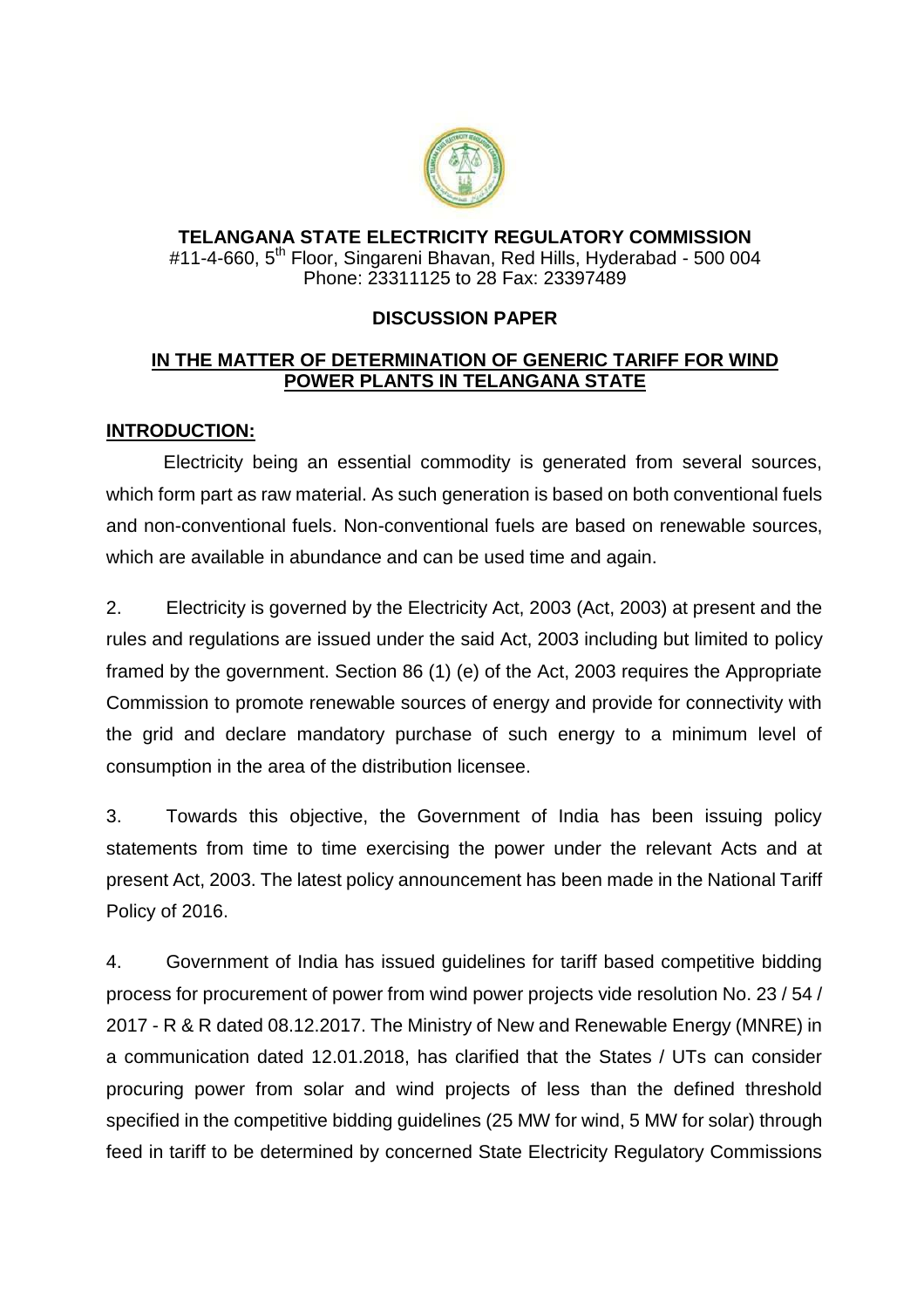

## **TELANGANA STATE ELECTRICITY REGULATORY COMMISSION** #11-4-660, 5<sup>th</sup> Floor, Singareni Bhavan, Red Hills, Hyderabad - 500 004 Phone: 23311125 to 28 Fax: 23397489

## **DISCUSSION PAPER**

## **IN THE MATTER OF DETERMINATION OF GENERIC TARIFF FOR WIND POWER PLANTS IN TELANGANA STATE**

## **INTRODUCTION:**

Electricity being an essential commodity is generated from several sources, which form part as raw material. As such generation is based on both conventional fuels and non-conventional fuels. Non-conventional fuels are based on renewable sources, which are available in abundance and can be used time and again.

2. Electricity is governed by the Electricity Act, 2003 (Act, 2003) at present and the rules and regulations are issued under the said Act, 2003 including but limited to policy framed by the government. Section 86 (1) (e) of the Act, 2003 requires the Appropriate Commission to promote renewable sources of energy and provide for connectivity with the grid and declare mandatory purchase of such energy to a minimum level of consumption in the area of the distribution licensee.

3. Towards this objective, the Government of India has been issuing policy statements from time to time exercising the power under the relevant Acts and at present Act, 2003. The latest policy announcement has been made in the National Tariff Policy of 2016.

4. Government of India has issued guidelines for tariff based competitive bidding process for procurement of power from wind power projects vide resolution No. 23 / 54 / 2017 - R & R dated 08.12.2017. The Ministry of New and Renewable Energy (MNRE) in a communication dated 12.01.2018, has clarified that the States / UTs can consider procuring power from solar and wind projects of less than the defined threshold specified in the competitive bidding guidelines (25 MW for wind, 5 MW for solar) through feed in tariff to be determined by concerned State Electricity Regulatory Commissions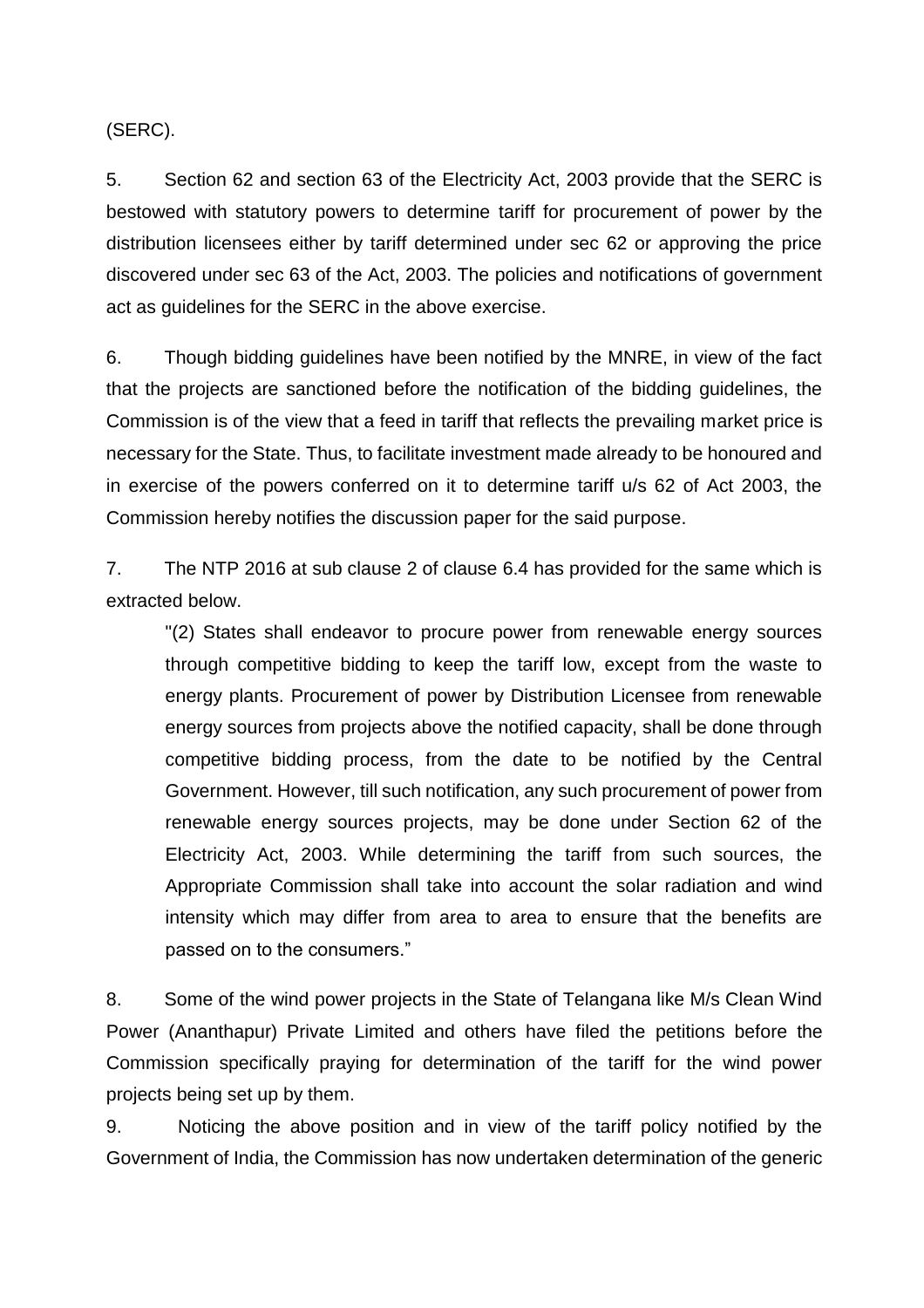(SERC).

5. Section 62 and section 63 of the Electricity Act, 2003 provide that the SERC is bestowed with statutory powers to determine tariff for procurement of power by the distribution licensees either by tariff determined under sec 62 or approving the price discovered under sec 63 of the Act, 2003. The policies and notifications of government act as guidelines for the SERC in the above exercise.

6. Though bidding guidelines have been notified by the MNRE, in view of the fact that the projects are sanctioned before the notification of the bidding guidelines, the Commission is of the view that a feed in tariff that reflects the prevailing market price is necessary for the State. Thus, to facilitate investment made already to be honoured and in exercise of the powers conferred on it to determine tariff u/s 62 of Act 2003, the Commission hereby notifies the discussion paper for the said purpose.

7. The NTP 2016 at sub clause 2 of clause 6.4 has provided for the same which is extracted below.

"(2) States shall endeavor to procure power from renewable energy sources through competitive bidding to keep the tariff low, except from the waste to energy plants. Procurement of power by Distribution Licensee from renewable energy sources from projects above the notified capacity, shall be done through competitive bidding process, from the date to be notified by the Central Government. However, till such notification, any such procurement of power from renewable energy sources projects, may be done under Section 62 of the Electricity Act, 2003. While determining the tariff from such sources, the Appropriate Commission shall take into account the solar radiation and wind intensity which may differ from area to area to ensure that the benefits are passed on to the consumers."

8. Some of the wind power projects in the State of Telangana like M/s Clean Wind Power (Ananthapur) Private Limited and others have filed the petitions before the Commission specifically praying for determination of the tariff for the wind power projects being set up by them.

9. Noticing the above position and in view of the tariff policy notified by the Government of India, the Commission has now undertaken determination of the generic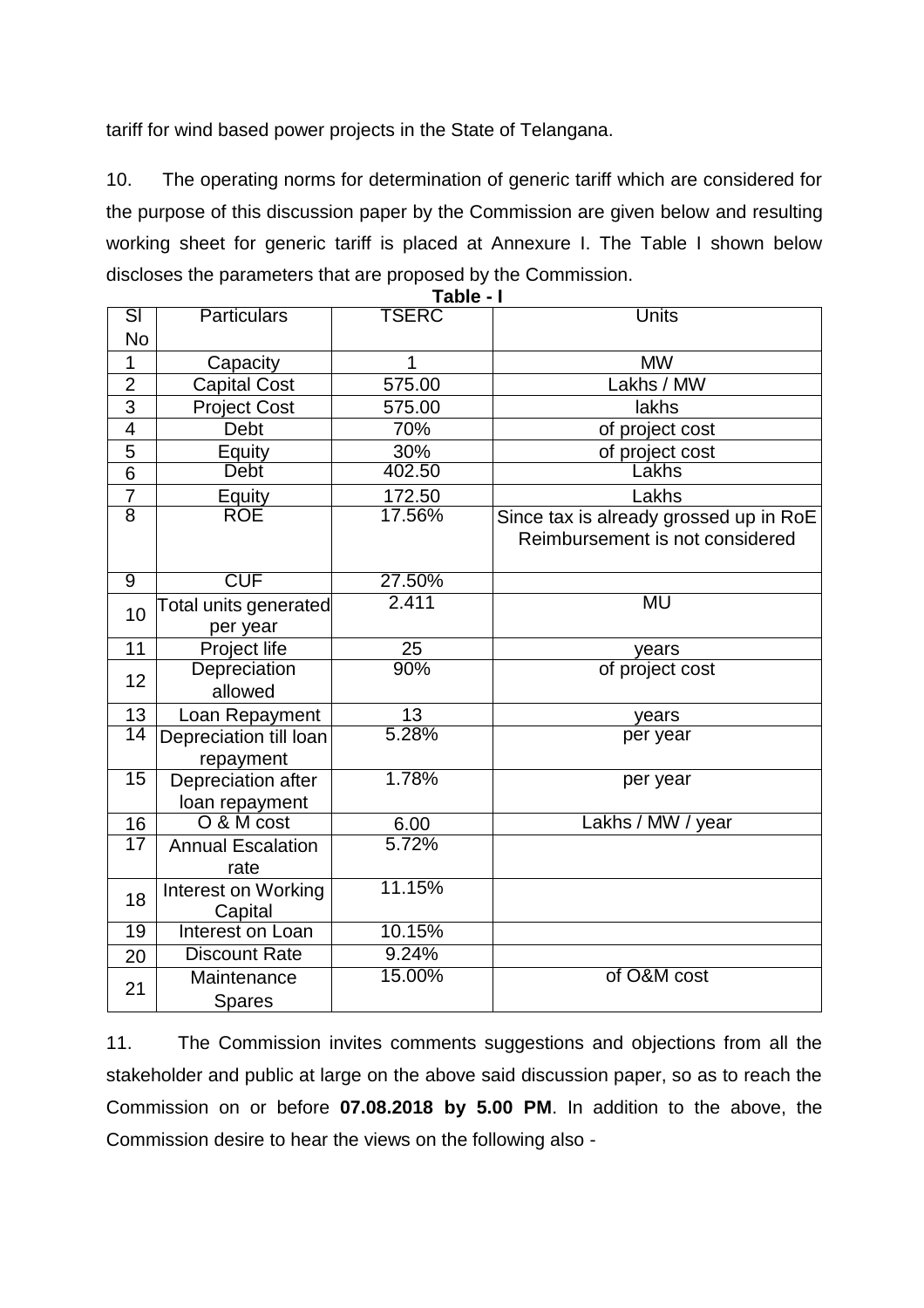tariff for wind based power projects in the State of Telangana.

10. The operating norms for determination of generic tariff which are considered for the purpose of this discussion paper by the Commission are given below and resulting working sheet for generic tariff is placed at Annexure I. The Table I shown below discloses the parameters that are proposed by the Commission. **Table - I**

|                          |                                      | ι ανισ       |                                                                           |  |  |  |  |  |  |  |  |
|--------------------------|--------------------------------------|--------------|---------------------------------------------------------------------------|--|--|--|--|--|--|--|--|
| $\overline{\mathsf{SI}}$ | <b>Particulars</b>                   | <b>TSERC</b> | <b>Units</b>                                                              |  |  |  |  |  |  |  |  |
| <b>No</b>                |                                      |              |                                                                           |  |  |  |  |  |  |  |  |
| $\mathbf 1$              | Capacity                             | 1            | <b>MW</b>                                                                 |  |  |  |  |  |  |  |  |
| $\overline{2}$           | <b>Capital Cost</b>                  | 575.00       | Lakhs / MW                                                                |  |  |  |  |  |  |  |  |
| $\overline{3}$           | <b>Project Cost</b>                  | 575.00       | lakhs                                                                     |  |  |  |  |  |  |  |  |
| $\overline{\mathbf{4}}$  | Debt                                 | 70%          | of project cost                                                           |  |  |  |  |  |  |  |  |
| 5                        | <b>Equity</b>                        | 30%          | of project cost                                                           |  |  |  |  |  |  |  |  |
| $\overline{6}$           | <b>Debt</b>                          | 402.50       | Lakhs                                                                     |  |  |  |  |  |  |  |  |
| $\overline{7}$           | <b>Equity</b>                        | 172.50       | Lakhs                                                                     |  |  |  |  |  |  |  |  |
| $\overline{8}$           | ROE                                  | 17.56%       | Since tax is already grossed up in RoE<br>Reimbursement is not considered |  |  |  |  |  |  |  |  |
| $\overline{9}$           | <b>CUF</b>                           | 27.50%       |                                                                           |  |  |  |  |  |  |  |  |
| 10                       | Total units generated<br>per year    | 2.411        | MU                                                                        |  |  |  |  |  |  |  |  |
| 11                       | Project life                         | <u>25</u>    | years                                                                     |  |  |  |  |  |  |  |  |
| 12                       | Depreciation<br>allowed              | 90%          | of project cost                                                           |  |  |  |  |  |  |  |  |
| 13                       | Loan Repayment                       | 13           | years                                                                     |  |  |  |  |  |  |  |  |
| 14                       | Depreciation till loan<br>repayment  | 5.28%        | per year                                                                  |  |  |  |  |  |  |  |  |
| $\overline{15}$          | Depreciation after<br>loan repayment | 1.78%        | per year                                                                  |  |  |  |  |  |  |  |  |
| 16                       | O & M cost                           | 6.00         | Lakhs / MW / year                                                         |  |  |  |  |  |  |  |  |
| 17                       | <b>Annual Escalation</b><br>rate     | 5.72%        |                                                                           |  |  |  |  |  |  |  |  |
| 18                       | Interest on Working<br>Capital       | 11.15%       |                                                                           |  |  |  |  |  |  |  |  |
| $\overline{19}$          | Interest on Loan                     | 10.15%       |                                                                           |  |  |  |  |  |  |  |  |
| 20                       | <b>Discount Rate</b>                 | 9.24%        |                                                                           |  |  |  |  |  |  |  |  |
| 21                       | Maintenance<br><b>Spares</b>         | 15.00%       | of O&M cost                                                               |  |  |  |  |  |  |  |  |

11. The Commission invites comments suggestions and objections from all the stakeholder and public at large on the above said discussion paper, so as to reach the Commission on or before **07.08.2018 by 5.00 PM**. In addition to the above, the Commission desire to hear the views on the following also -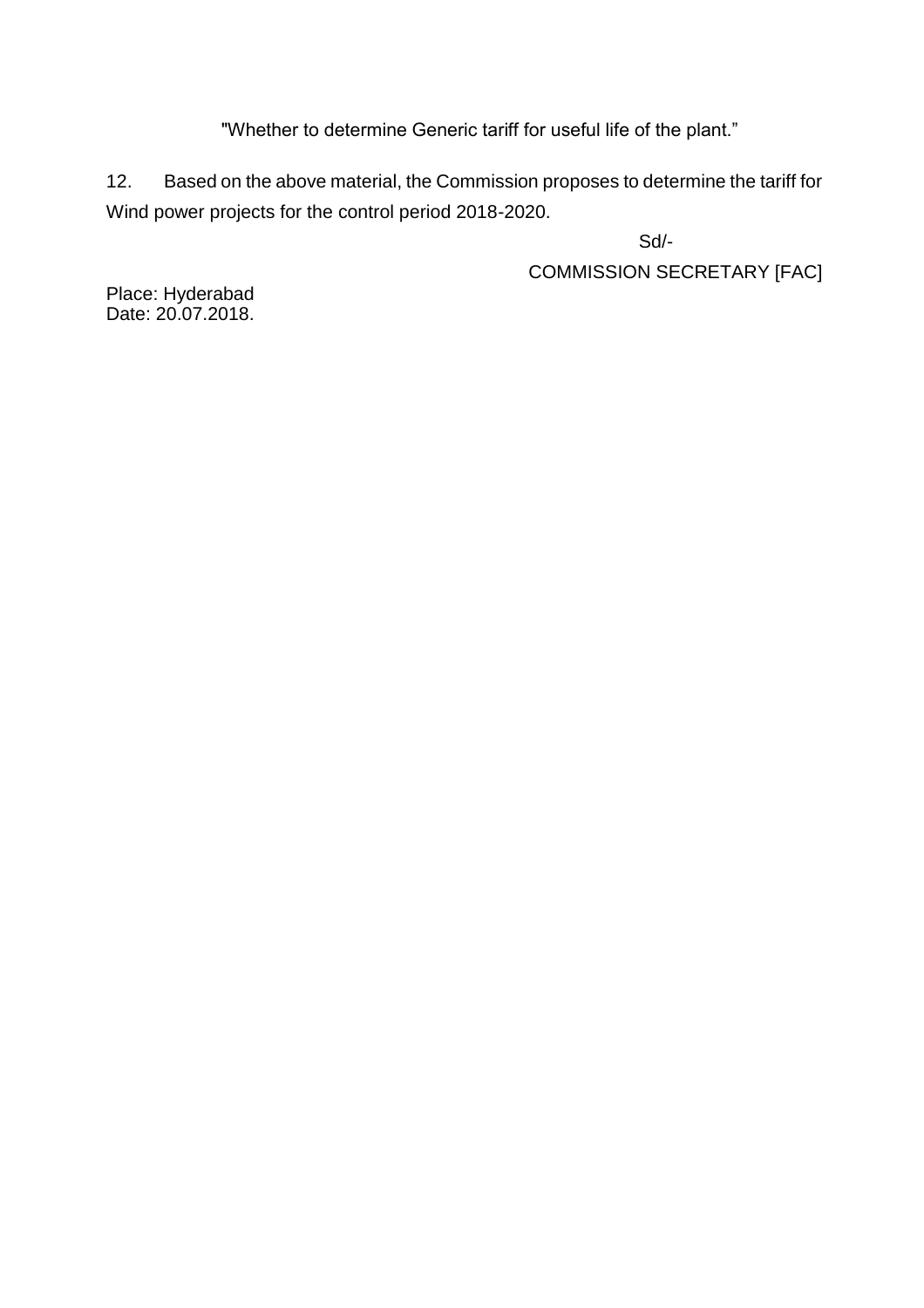"Whether to determine Generic tariff for useful life of the plant."

12. Based on the above material, the Commission proposes to determine the tariff for Wind power projects for the control period 2018-2020.

> Sd/- COMMISSION SECRETARY [FAC]

Place: Hyderabad Date: 20.07.2018.